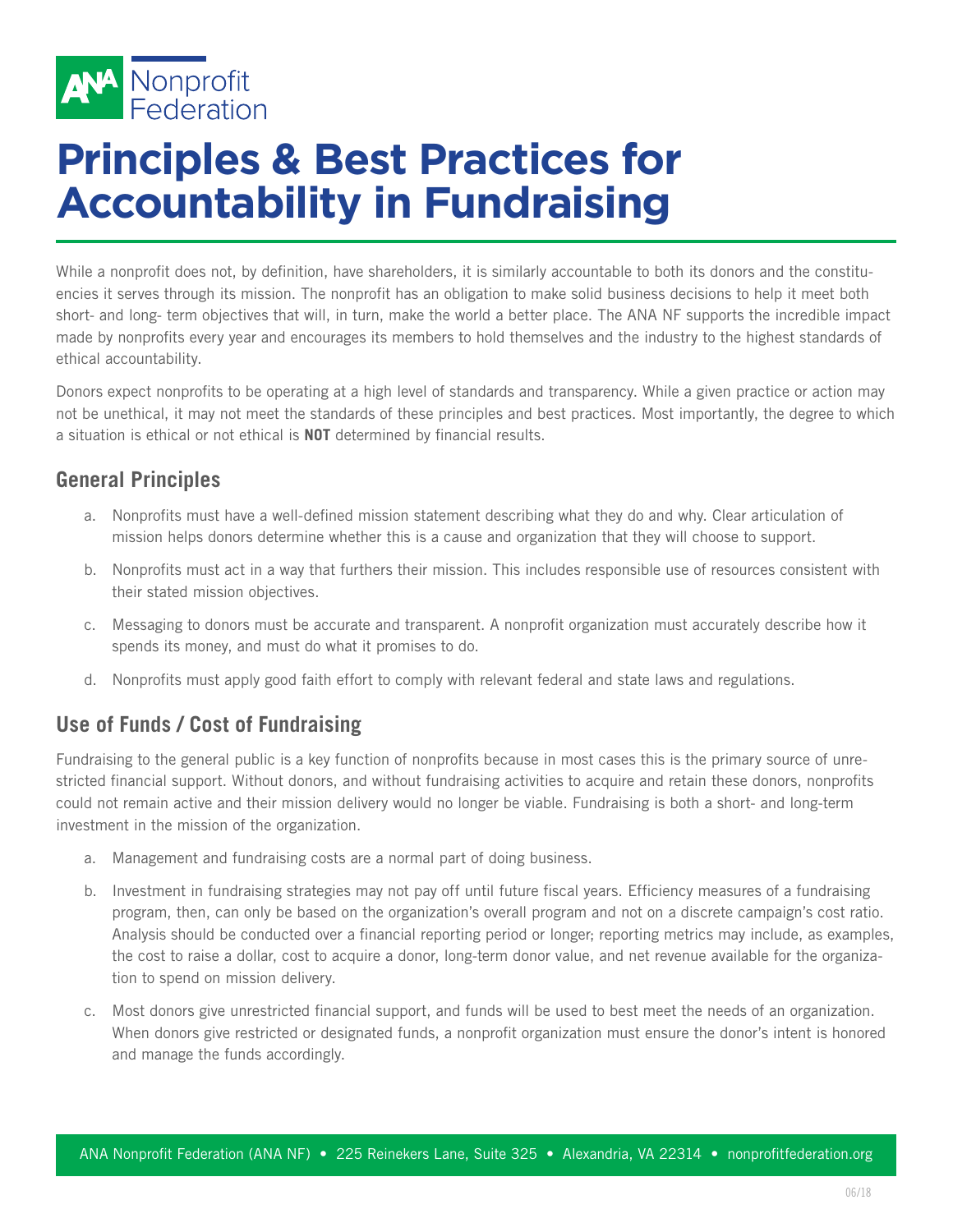

## **Principles & Best Practices for Accountability in Fundraising**

While a nonprofit does not, by definition, have shareholders, it is similarly accountable to both its donors and the constituencies it serves through its mission. The nonprofit has an obligation to make solid business decisions to help it meet both short- and long- term objectives that will, in turn, make the world a better place. The ANA NF supports the incredible impact made by nonprofits every year and encourages its members to hold themselves and the industry to the highest standards of ethical accountability.

Donors expect nonprofits to be operating at a high level of standards and transparency. While a given practice or action may not be unethical, it may not meet the standards of these principles and best practices. Most importantly, the degree to which a situation is ethical or not ethical is **NOT** determined by financial results.

## **General Principles**

- a. Nonprofits must have a well-defined mission statement describing what they do and why. Clear articulation of mission helps donors determine whether this is a cause and organization that they will choose to support.
- b. Nonprofits must act in a way that furthers their mission. This includes responsible use of resources consistent with their stated mission objectives.
- c. Messaging to donors must be accurate and transparent. A nonprofit organization must accurately describe how it spends its money, and must do what it promises to do.
- d. Nonprofits must apply good faith effort to comply with relevant federal and state laws and regulations.

## **Use of Funds / Cost of Fundraising**

Fundraising to the general public is a key function of nonprofits because in most cases this is the primary source of unrestricted financial support. Without donors, and without fundraising activities to acquire and retain these donors, nonprofits could not remain active and their mission delivery would no longer be viable. Fundraising is both a short- and long-term investment in the mission of the organization.

- a. Management and fundraising costs are a normal part of doing business.
- b. Investment in fundraising strategies may not pay off until future fiscal years. Efficiency measures of a fundraising program, then, can only be based on the organization's overall program and not on a discrete campaign's cost ratio. Analysis should be conducted over a financial reporting period or longer; reporting metrics may include, as examples, the cost to raise a dollar, cost to acquire a donor, long-term donor value, and net revenue available for the organization to spend on mission delivery.
- c. Most donors give unrestricted financial support, and funds will be used to best meet the needs of an organization. When donors give restricted or designated funds, a nonprofit organization must ensure the donor's intent is honored and manage the funds accordingly.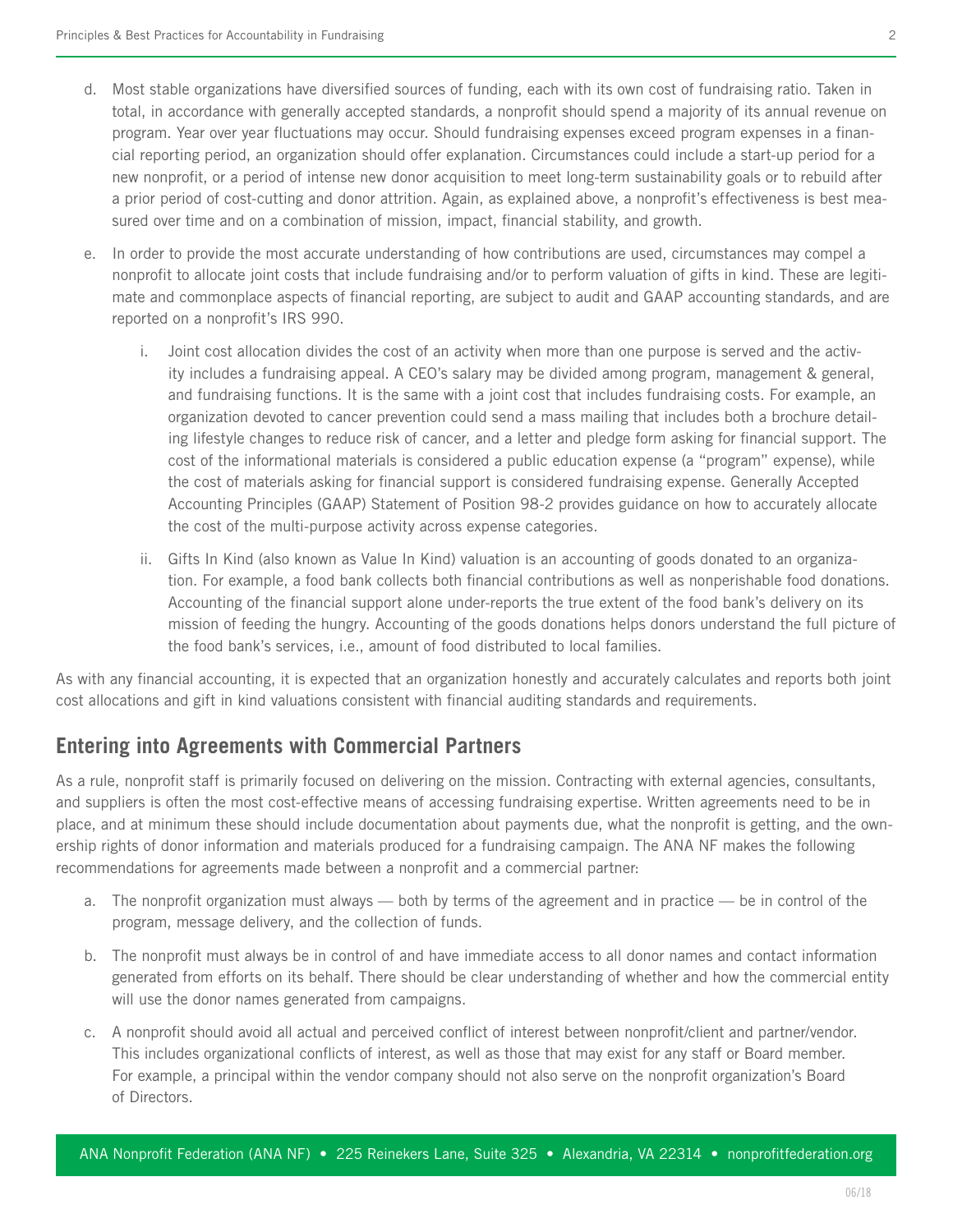- d. Most stable organizations have diversified sources of funding, each with its own cost of fundraising ratio. Taken in total, in accordance with generally accepted standards, a nonprofit should spend a majority of its annual revenue on program. Year over year fluctuations may occur. Should fundraising expenses exceed program expenses in a financial reporting period, an organization should offer explanation. Circumstances could include a start-up period for a new nonprofit, or a period of intense new donor acquisition to meet long-term sustainability goals or to rebuild after a prior period of cost-cutting and donor attrition. Again, as explained above, a nonprofit's effectiveness is best measured over time and on a combination of mission, impact, financial stability, and growth.
- e. In order to provide the most accurate understanding of how contributions are used, circumstances may compel a nonprofit to allocate joint costs that include fundraising and/or to perform valuation of gifts in kind. These are legitimate and commonplace aspects of financial reporting, are subject to audit and GAAP accounting standards, and are reported on a nonprofit's IRS 990.
	- i. Joint cost allocation divides the cost of an activity when more than one purpose is served and the activity includes a fundraising appeal. A CEO's salary may be divided among program, management & general, and fundraising functions. It is the same with a joint cost that includes fundraising costs. For example, an organization devoted to cancer prevention could send a mass mailing that includes both a brochure detailing lifestyle changes to reduce risk of cancer, and a letter and pledge form asking for financial support. The cost of the informational materials is considered a public education expense (a "program" expense), while the cost of materials asking for financial support is considered fundraising expense. Generally Accepted Accounting Principles (GAAP) Statement of Position 98-2 provides guidance on how to accurately allocate the cost of the multi-purpose activity across expense categories.
	- ii. Gifts In Kind (also known as Value In Kind) valuation is an accounting of goods donated to an organization. For example, a food bank collects both financial contributions as well as nonperishable food donations. Accounting of the financial support alone under-reports the true extent of the food bank's delivery on its mission of feeding the hungry. Accounting of the goods donations helps donors understand the full picture of the food bank's services, i.e., amount of food distributed to local families.

As with any financial accounting, it is expected that an organization honestly and accurately calculates and reports both joint cost allocations and gift in kind valuations consistent with financial auditing standards and requirements.

## **Entering into Agreements with Commercial Partners**

As a rule, nonprofit staff is primarily focused on delivering on the mission. Contracting with external agencies, consultants, and suppliers is often the most cost-effective means of accessing fundraising expertise. Written agreements need to be in place, and at minimum these should include documentation about payments due, what the nonprofit is getting, and the ownership rights of donor information and materials produced for a fundraising campaign. The ANA NF makes the following recommendations for agreements made between a nonprofit and a commercial partner:

- a. The nonprofit organization must always both by terms of the agreement and in practice be in control of the program, message delivery, and the collection of funds.
- b. The nonprofit must always be in control of and have immediate access to all donor names and contact information generated from efforts on its behalf. There should be clear understanding of whether and how the commercial entity will use the donor names generated from campaigns.
- c. A nonprofit should avoid all actual and perceived conflict of interest between nonprofit/client and partner/vendor. This includes organizational conflicts of interest, as well as those that may exist for any staff or Board member. For example, a principal within the vendor company should not also serve on the nonprofit organization's Board of Directors.